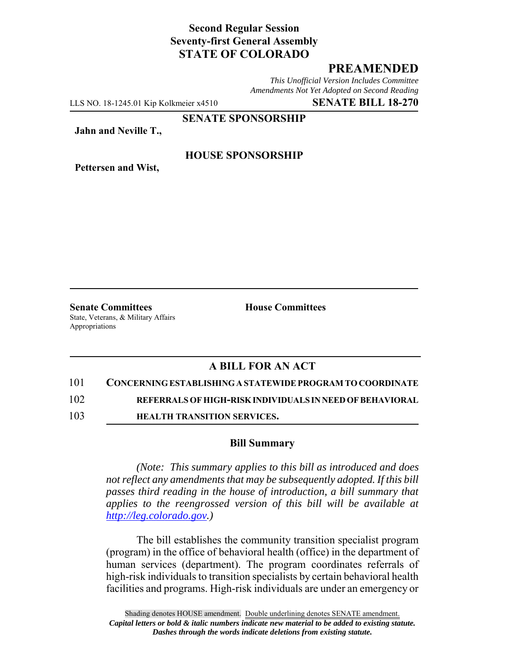# **Second Regular Session Seventy-first General Assembly STATE OF COLORADO**

# **PREAMENDED**

*This Unofficial Version Includes Committee Amendments Not Yet Adopted on Second Reading*

LLS NO. 18-1245.01 Kip Kolkmeier x4510 **SENATE BILL 18-270**

**SENATE SPONSORSHIP**

**Jahn and Neville T.,**

**Pettersen and Wist,**

## **HOUSE SPONSORSHIP**

**Senate Committees House Committees** State, Veterans, & Military Affairs Appropriations

## **A BILL FOR AN ACT**

#### 101 **CONCERNING ESTABLISHING A STATEWIDE PROGRAM TO COORDINATE**

102 **REFERRALS OF HIGH-RISK INDIVIDUALS IN NEED OF BEHAVIORAL**

103 **HEALTH TRANSITION SERVICES.**

### **Bill Summary**

*(Note: This summary applies to this bill as introduced and does not reflect any amendments that may be subsequently adopted. If this bill passes third reading in the house of introduction, a bill summary that applies to the reengrossed version of this bill will be available at http://leg.colorado.gov.)*

The bill establishes the community transition specialist program (program) in the office of behavioral health (office) in the department of human services (department). The program coordinates referrals of high-risk individuals to transition specialists by certain behavioral health facilities and programs. High-risk individuals are under an emergency or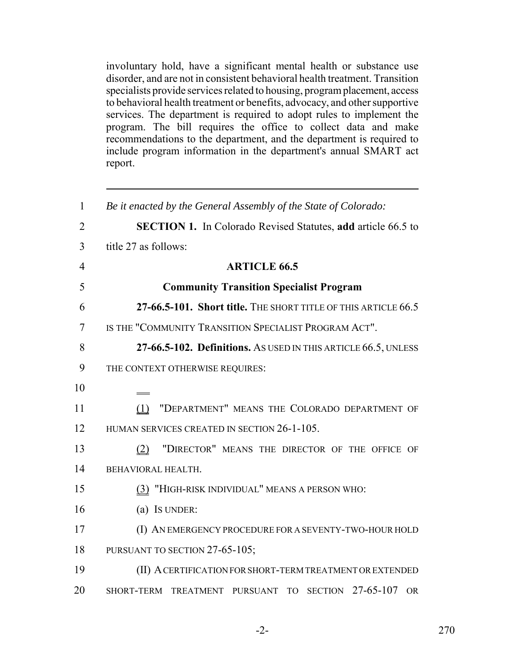involuntary hold, have a significant mental health or substance use disorder, and are not in consistent behavioral health treatment. Transition specialists provide services related to housing, program placement, access to behavioral health treatment or benefits, advocacy, and other supportive services. The department is required to adopt rules to implement the program. The bill requires the office to collect data and make recommendations to the department, and the department is required to include program information in the department's annual SMART act report.

| $\mathbf{1}$   | Be it enacted by the General Assembly of the State of Colorado:     |
|----------------|---------------------------------------------------------------------|
| $\overline{2}$ | <b>SECTION 1.</b> In Colorado Revised Statutes, add article 66.5 to |
| 3              | title 27 as follows:                                                |
| $\overline{4}$ | <b>ARTICLE 66.5</b>                                                 |
| 5              | <b>Community Transition Specialist Program</b>                      |
| 6              | 27-66.5-101. Short title. THE SHORT TITLE OF THIS ARTICLE 66.5      |
| $\tau$         | IS THE "COMMUNITY TRANSITION SPECIALIST PROGRAM ACT".               |
| 8              | 27-66.5-102. Definitions. AS USED IN THIS ARTICLE 66.5, UNLESS      |
| 9              | THE CONTEXT OTHERWISE REQUIRES:                                     |
| 10             |                                                                     |
| 11             | "DEPARTMENT" MEANS THE COLORADO DEPARTMENT OF<br>(1)                |
| 12             | HUMAN SERVICES CREATED IN SECTION 26-1-105.                         |
| 13             | "DIRECTOR" MEANS THE DIRECTOR OF THE OFFICE OF<br>(2)               |
| 14             | BEHAVIORAL HEALTH.                                                  |
| 15             | (3) "HIGH-RISK INDIVIDUAL" MEANS A PERSON WHO:                      |
| 16             | (a) Is UNDER:                                                       |
| 17             | (I) AN EMERGENCY PROCEDURE FOR A SEVENTY-TWO-HOUR HOLD              |
| 18             | PURSUANT TO SECTION 27-65-105;                                      |
| 19             | (II) A CERTIFICATION FOR SHORT-TERM TREATMENT OR EXTENDED           |
| 20             | SECTION 27-65-107<br>SHORT-TERM TREATMENT PURSUANT TO<br><b>OR</b>  |
|                |                                                                     |

-2- 270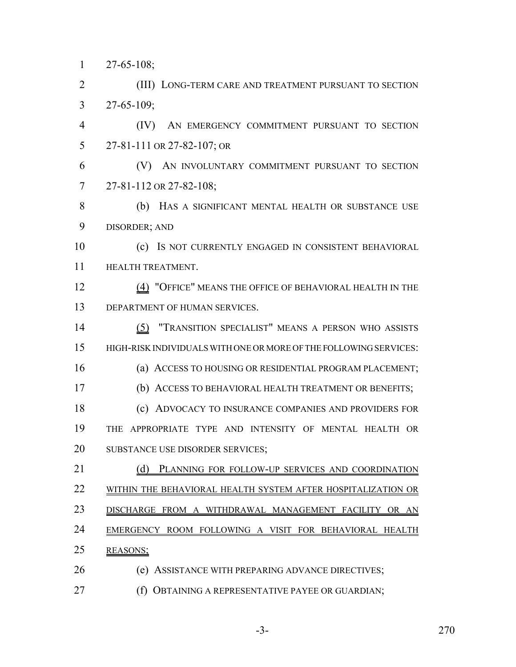27-65-108;

 (III) LONG-TERM CARE AND TREATMENT PURSUANT TO SECTION 27-65-109;

 (IV) AN EMERGENCY COMMITMENT PURSUANT TO SECTION 27-81-111 OR 27-82-107; OR

 (V) AN INVOLUNTARY COMMITMENT PURSUANT TO SECTION 27-81-112 OR 27-82-108;

 (b) HAS A SIGNIFICANT MENTAL HEALTH OR SUBSTANCE USE DISORDER; AND

 (c) IS NOT CURRENTLY ENGAGED IN CONSISTENT BEHAVIORAL **HEALTH TREATMENT.** 

12 (4) "OFFICE" MEANS THE OFFICE OF BEHAVIORAL HEALTH IN THE DEPARTMENT OF HUMAN SERVICES.

 (5) "TRANSITION SPECIALIST" MEANS A PERSON WHO ASSISTS HIGH-RISK INDIVIDUALS WITH ONE OR MORE OF THE FOLLOWING SERVICES: (a) ACCESS TO HOUSING OR RESIDENTIAL PROGRAM PLACEMENT; (b) ACCESS TO BEHAVIORAL HEALTH TREATMENT OR BENEFITS; (c) ADVOCACY TO INSURANCE COMPANIES AND PROVIDERS FOR THE APPROPRIATE TYPE AND INTENSITY OF MENTAL HEALTH OR SUBSTANCE USE DISORDER SERVICES;

21 (d) PLANNING FOR FOLLOW-UP SERVICES AND COORDINATION WITHIN THE BEHAVIORAL HEALTH SYSTEM AFTER HOSPITALIZATION OR

DISCHARGE FROM A WITHDRAWAL MANAGEMENT FACILITY OR AN

EMERGENCY ROOM FOLLOWING A VISIT FOR BEHAVIORAL HEALTH

- REASONS;
- (e) ASSISTANCE WITH PREPARING ADVANCE DIRECTIVES;
- (f) OBTAINING A REPRESENTATIVE PAYEE OR GUARDIAN;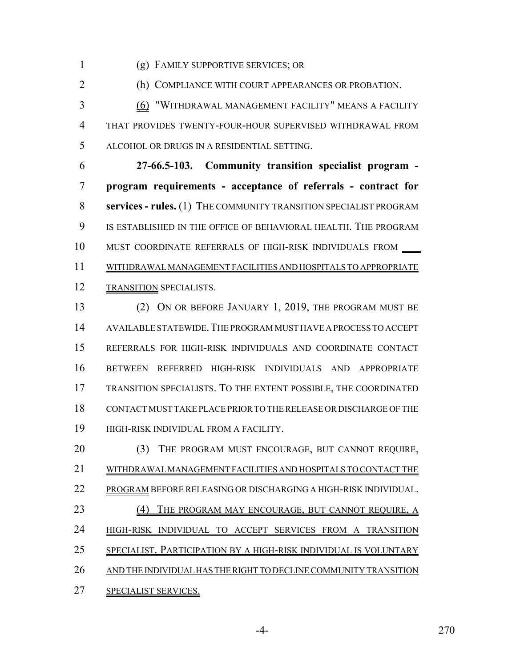(g) FAMILY SUPPORTIVE SERVICES; OR

(h) COMPLIANCE WITH COURT APPEARANCES OR PROBATION.

 (6) "WITHDRAWAL MANAGEMENT FACILITY" MEANS A FACILITY THAT PROVIDES TWENTY-FOUR-HOUR SUPERVISED WITHDRAWAL FROM ALCOHOL OR DRUGS IN A RESIDENTIAL SETTING.

 **27-66.5-103. Community transition specialist program - program requirements - acceptance of referrals - contract for services - rules.** (1) THE COMMUNITY TRANSITION SPECIALIST PROGRAM IS ESTABLISHED IN THE OFFICE OF BEHAVIORAL HEALTH. THE PROGRAM 10 MUST COORDINATE REFERRALS OF HIGH-RISK INDIVIDUALS FROM \_\_\_\_ WITHDRAWAL MANAGEMENT FACILITIES AND HOSPITALS TO APPROPRIATE 12 TRANSITION SPECIALISTS.

 (2) ON OR BEFORE JANUARY 1, 2019, THE PROGRAM MUST BE AVAILABLE STATEWIDE.THE PROGRAM MUST HAVE A PROCESS TO ACCEPT REFERRALS FOR HIGH-RISK INDIVIDUALS AND COORDINATE CONTACT BETWEEN REFERRED HIGH-RISK INDIVIDUALS AND APPROPRIATE TRANSITION SPECIALISTS. TO THE EXTENT POSSIBLE, THE COORDINATED CONTACT MUST TAKE PLACE PRIOR TO THE RELEASE OR DISCHARGE OF THE HIGH-RISK INDIVIDUAL FROM A FACILITY.

 (3) THE PROGRAM MUST ENCOURAGE, BUT CANNOT REQUIRE, WITHDRAWAL MANAGEMENT FACILITIES AND HOSPITALS TO CONTACT THE PROGRAM BEFORE RELEASING OR DISCHARGING A HIGH-RISK INDIVIDUAL. 23 (4) THE PROGRAM MAY ENCOURAGE, BUT CANNOT REQUIRE, A HIGH-RISK INDIVIDUAL TO ACCEPT SERVICES FROM A TRANSITION SPECIALIST. PARTICIPATION BY A HIGH-RISK INDIVIDUAL IS VOLUNTARY AND THE INDIVIDUAL HAS THE RIGHT TO DECLINE COMMUNITY TRANSITION SPECIALIST SERVICES.

-4- 270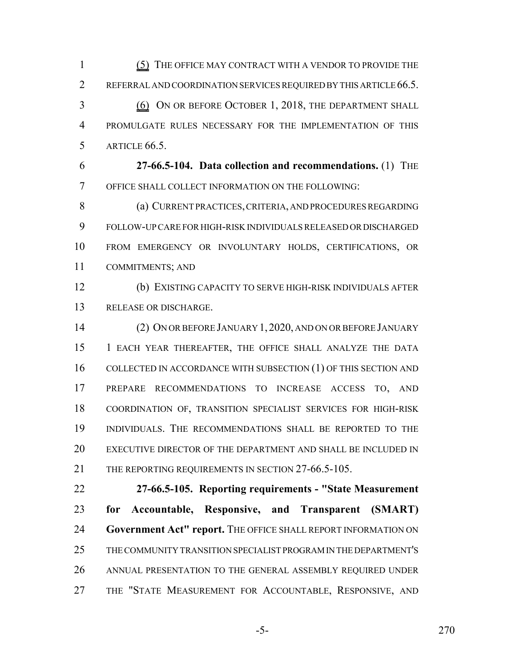(5) THE OFFICE MAY CONTRACT WITH A VENDOR TO PROVIDE THE 2 REFERRAL AND COORDINATION SERVICES REQUIRED BY THIS ARTICLE 66.5. (6) ON OR BEFORE OCTOBER 1, 2018, THE DEPARTMENT SHALL PROMULGATE RULES NECESSARY FOR THE IMPLEMENTATION OF THIS ARTICLE 66.5.

 **27-66.5-104. Data collection and recommendations.** (1) THE OFFICE SHALL COLLECT INFORMATION ON THE FOLLOWING:

 (a) CURRENT PRACTICES, CRITERIA, AND PROCEDURES REGARDING FOLLOW-UP CARE FOR HIGH-RISK INDIVIDUALS RELEASED OR DISCHARGED FROM EMERGENCY OR INVOLUNTARY HOLDS, CERTIFICATIONS, OR COMMITMENTS; AND

 (b) EXISTING CAPACITY TO SERVE HIGH-RISK INDIVIDUALS AFTER RELEASE OR DISCHARGE.

 (2) ON OR BEFORE JANUARY 1,2020, AND ON OR BEFORE JANUARY 1 EACH YEAR THEREAFTER, THE OFFICE SHALL ANALYZE THE DATA 16 COLLECTED IN ACCORDANCE WITH SUBSECTION (1) OF THIS SECTION AND PREPARE RECOMMENDATIONS TO INCREASE ACCESS TO, AND COORDINATION OF, TRANSITION SPECIALIST SERVICES FOR HIGH-RISK INDIVIDUALS. THE RECOMMENDATIONS SHALL BE REPORTED TO THE EXECUTIVE DIRECTOR OF THE DEPARTMENT AND SHALL BE INCLUDED IN 21 THE REPORTING REQUIREMENTS IN SECTION 27-66.5-105.

 **27-66.5-105. Reporting requirements - "State Measurement for Accountable, Responsive, and Transparent (SMART) Government Act" report.** THE OFFICE SHALL REPORT INFORMATION ON THE COMMUNITY TRANSITION SPECIALIST PROGRAM IN THE DEPARTMENT'S ANNUAL PRESENTATION TO THE GENERAL ASSEMBLY REQUIRED UNDER THE "STATE MEASUREMENT FOR ACCOUNTABLE, RESPONSIVE, AND